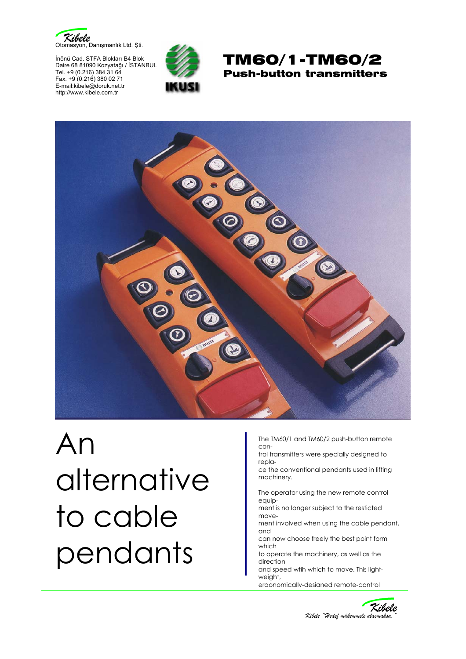

İnönü Cad. STFA Blokları B4 Blok Daire 68 81090 Kozyatağı / İSTANBUL Tel. +9 (0.216) 384 31 64 Fax. +9 (0.216) 380 02 71 E-mail:kibele@doruk.net.tr http://www.kibele.com.tr







## An alternative to cable pendants

The TM60/1 and TM60/2 push-button remote con-

trol transmitters were specially designed to repla-

ce the conventional pendants used in lifting machinery.

The operator using the new remote control equip-

ment is no longer subject to the resticted move-

ment involved when using the cable pendant, and

can now choose freely the best point form which

to operate the machinery, as well as the direction

and speed wtih which to move. This lightweight,

ergonomically-designed remote-control